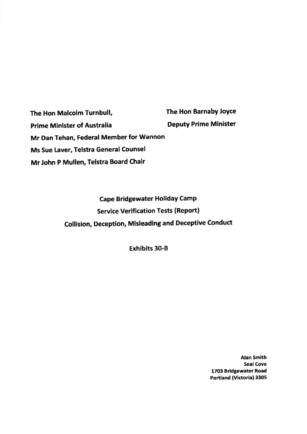The Hon Malcolm Turnbull, The Hon Barnaby Joyce Prime Minister of Australia Deputy Prime Minister Mr Dan Tehan, Federal Member for Wannon Ms Sue Laver, Telstra General Counsel Mr John P Mullen, Telstra Board Chair

> Cape Bridgewater Holiday Camp Service Verification Tests (Report) Collision, Deception, Misleading and Deceptive Conduct

> > Exhibits 30-B

Alan Smith Seal cove 1703 Bridgewater Road Portland (victoria) 3305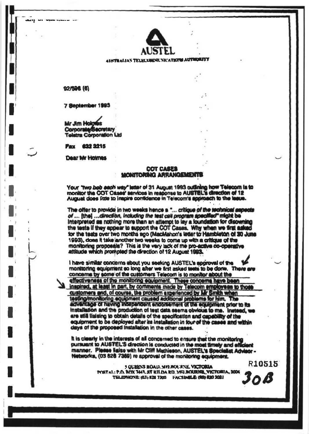

**ARSTRALIAN TELECOMMUNICATIONS AUTHORITY** 

92/596 (6)

7 September 1993

Mr Jim Holories Corporate/Secretary **Telstra Corporation Ltd** 

632 3215 **Fax** 

**Dear Mr Holmes** 

#### **COT CASES MONITORING ARRANGEMENTS**

Your "two beb each way" letter of 31 August 1993 outlining how Telecom is to monitor the COT Cases' services in response to AUSTEL's direction of 12 August does little to inspire confidence in Telecom's approach to the leaue.

The offer to provide in two weeks hence a "... critique of the technical aspects of ... [the] ... direction, including the test call program specified" might be Interpreted as nothing more than an attempt to lay a foundation for discoming the tests if they appear to support the COT Cases. Why when we first asked for the tests over two months ago (MacMahon's letter to Hambleton of 30 June 1993), does it take another two weeks to come up with a criticase of the monitoring proposals? This is the very lack of the pro-active co-operative attitude which prompted the direction of 12 August 1993.

I have similar concerns about you seeking AUSTEL's approval of the monitoring equipment so long after we first asked tests to be done. There are concerns by some of the customers Telecom is to monitor about the effectiveness of the monitoring equipment. These concerns have been inspired, at least in part, by comments made by Telecom employees to those customers and, of course, the problem experienced by Mr Smith when<br>testing/monitoring equipment caused additional problems for him, The<br>adventage of having independent endorsement of the equipment prior to its installation and the production of test data seems obvious to me. Instead, we are still liaising to obtain details of the specification and capability of the equipment to be deployed after its installation in four of the cases and within days of the proposed installation in the other cases.

It is clearly in the interests of all concerned to ensure that the monitoring pursuant to AUSTEL'S drection is conducted in the most timely and eff manner. Please liaise with Mr Cliff Mathieson, AUSTEL's Specialist Advisor-Networks, (03 828 7389) re approval of the monitoring equipment.

> 5 QUEENS ROAD, MELBOURNE VICTORIA POSTAL: P.O. BOX 7443, ST KILDA RD, MELBOURNE, VICTORIA, 1004 TELEPHONE: (03) K28 7300 FACSIABLE: (88) 820 3021

**R10515** 

30 B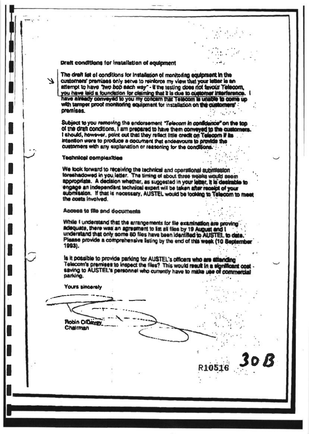#### Draft conditions for installation of equipment

The draft fat of conditions for installation of monitoring equipment in the customers' premises only serve to reinforce my view that your letter is an attempt to have "two bob each way" - if the testing does not favour Telecom, you have laid a foundation for claiming that it is due to customer interference. I have already conveyed to you my concern that Telecom is unable to come up with temper proof monitoring equipment for installation on the customers': premises.

Subject to you removing the endorsement "Telecom in confidence" on the top of the draft conditions, I am prepared to have them conveyed to the customers. I should, however, point out that they reflect little credit on Telecom if its intention were to produce a document that endeavours to provide the customers with any explanation or reasoning for the conditions.

#### **Technical complexities**

 $\blacktriangledown$ 

We look forward to receiving the technical and operational aubritation foreshadowed in you letter. The timing of about three weeks would seem appropriate. A decision whether, as suggested in your letter, it is desirable to engage an independent technical expert will be taken after receipt of your submission. If that is necessary, AUSTEL would be foolding to Telecom to meet the costs involved.

#### Ancesa to file and documents

While I understand that the arrangements for file examination are proving. adequate, there was an agreement to list all files by 19 August and I understand that only some 60 files have been identified to AUSTEL to date. Please provide a comprehensive listing by the end of this week (10 September 1993).

Is it possible to provide parking for AUSTEL's officers who are attending Telecom's premises to inspect the files? This would result in a significant cost saving to AUSTEL's personnel who currently have to make use of commercial parking.

0B

R10516

**Yours sinceraty** 

**Robin C-Davey Chairman**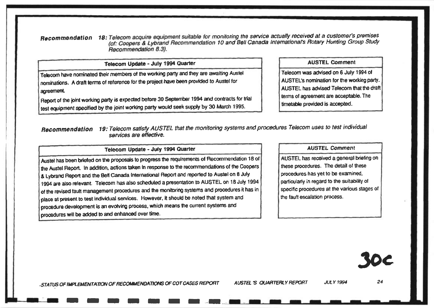Recommendation 18: Telecom acquire equipment suitable for monitoring the service actually received at a customer's premises (cf: Coopers & Lybrand Recommendation 10 and Bell Canada International's Rotary Hunting Group Study Recommendation 8.3).

Telecom Update - July 1994 Quarter

Telecom have nominated their members of the working party and they are awaiting Austel nominations. A draft terms of reference for the project have been provided to Austel for agreement.

Report of the joint working party is expected before 30 September 1994 and contracts for trial test equipment specified by the joint working party would seek supply by 30 March 1995.

#### **AUSTEL Comment**

Telecom was advised on 6 July 1994 of AUSTEL's nomination for the working party. AUSTEL has advised Telecom that the draft terms of agreement are acceptable. The timetable provided is accepted.

Recommendation 19: Telecom satisfy AUSTEL that the monitoring systems and procedures Telecom uses to test individual services are effective.

#### Telecom Update - July 1994 Quarter

Austel has been briefed on the proposals to progress the requirements of Recommendation 18 of the Austel Report. In addition, actions taken in response to the recommendations of the Coopers & Lybrand Report and the Bell Canada International Report and reported to Austel on 8 July 1994 are also relevant. Telecom has also scheduled a presentation to AUSTEL on 18 July 1994 of the revised fault management procedures and the monitoring systems and procedures it has in place at present to test individual services. However, it should be noted that system and procedure development is an evolving process, which means the current systems and procedures will be added to and enhanced over time.

#### **AUSTEL Comment**

AUSTEL has received a general briefing on these procedures. The detail of these procedures has yet to be examined, particularly in regard to the suitability of specific procedures at the various stages of the fault escalation process.

**JULY 1994** 

STATUS OF IMPLEMENTATION OF RECOMMENDATIONS OF COT CASES REPORT

AUSTEL'S QUARTERLY REPORT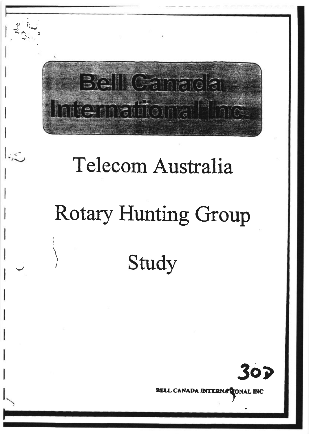

 $\mathcal{L}_{\mathcal{F}_{\infty}}^{\mathcal{L}_{\infty}}$ 

# Telecom Australia Rotary Hunting Group Study



BELL CANADA INTERNATIONAL INC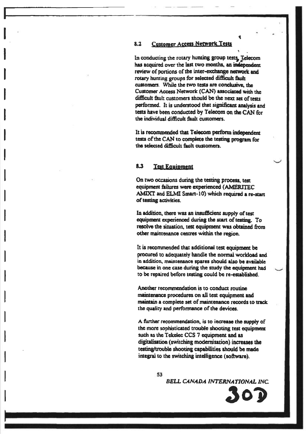In conducting the rotary hunting group tests, Telecom has acquired over the last two months, an independent review of portions of the inter-exchange network and rotary hunting groups for selected difficult fault customers. While the two tests are conclusive, the Customer Access Network (CAN) associated with the difficult fault customers should be the next set of tests performed. It is understood that significant analysis and tests have been conducted by Telecom on the CAN for the individual difficult fault customers.

It is recommended that Telecom perform independent tests of the CAN to complete the testing program for the selected difficult fault customers.

#### 8.3 **Test Equipment**

On two occasions during the testing process, test equipment failures were experienced (AMERITEC AMIXT and ELMI Smart-10) which required a re-start of testing activities.

In addition, there was an insufficient supply of test equipment experienced during the start of testing. To resolve the situation, test equipment was obtained from other maintenance centres within the region.

It is recommended that additional test equipment be procured to adequately handle the normal workload and in addition, maintenance spares should also be available because in one case during the study the equipment had to be repaired before testing could be re-established.

Another recommendation is to conduct routine maintenance procedures on all test equipment and maintain a complete set of maintenance records to track the quality and performance of the devices.

A further recommendation, is to increase the supply of the more sophisticated trouble shooting test equipment such as the Tekelec CCS 7 equipment and as digitalisation (switching modernisation) increases the testing/trouble shooting capabilities should be made integral to the switching intelligence (software).

53

BELL CANADA INTERNATIONAL INC.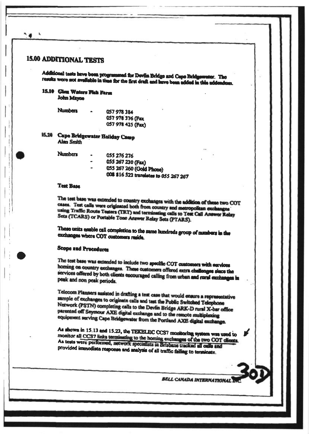**15.00 ADDITIONAL TESTS** 

Additional tests have been programmed for Devlin Bridge and Cape Bridgewater. The results were not available in time for the first draft and have been added in this addendum.

15.10 Glou Waters Fish Farm

John Mayne

**Numbers** 

057 978 384 057 978 376 (Pax 057 978 425 (Fax)

15.20 Cape Bridgewater Holiday Camp **Alan Smith** 

**Numbers** 

| 055 276 276       |                                        |
|-------------------|----------------------------------------|
| 055 267 230 (Fax) |                                        |
|                   | 055 267 260 (Gold Phone)               |
|                   | 008 \$16 522 translates to 055 267 267 |

#### **Test Base**

The test base was extended to country exchanges with the addition of these two COT cases. Test calls were originated both from country and metropolitan exchanges using Traffic Route Testers (TRT) and terminating calls to Test Call Answer Relay Sets (TCARS) or Portable Tone Answer Relay Sets (PTARS).

These units enable call completion to the same hundreds group of numbers in the exchanges where COT customers reside.

#### Scope and Procedures

The test base was extended to include two specific COT customers with services homing on country exchanges. These customers offered extra challenges since the services offered by both clients encouraged calling from urban and rural exchanges in peak and non peak periods.

Telecom Planners assisted in drafting a test case that would ensure a representative sample of exchanges to originate calls and test the Public Switched Telephone Network (PSTN) completing calls to the Devlin Bridge ARK-D rural X-bar office parented off Seymour AXE digital exchange and to the remote multiplexing equipment serving Cape Bridgewater from the Portland AXE digital exchange.

As shown in 15.13 and 15.23, the TEKELEC CCS7 monitoring system was used to monitor all CCS7 links terminating to the homing exchanges of the two COT clients.<br>As tests were performed, network specialists in Brisbane tracked all only and provided immediate response and analysis of all traffic failing to terminate.

BELL CANADA INTERNATIONAL

V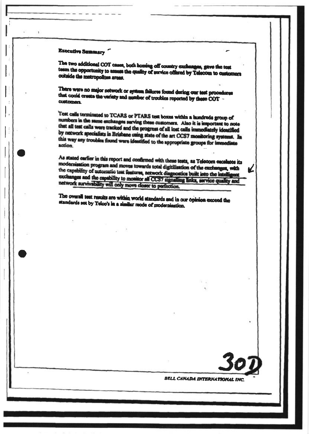#### Executive Summary

٠

The two additional COT cases, both homing off country exchanges, gave the test team the opportunity to assess the quality of service offered by Telecom to customers outside the motropolitan areas.

There were no major network or system failures found during our test procedures that could create the variety and number of troubles reported by these COT ... **CUSTOMER** 

Test calls terminated to TCARS or PTARS test boxes within a hundreds group of numbers in the same exchanges serving these customers. Also it is important to note that all test calls were tracked and the progress of all lost calls immediately identified by network specialists in Brisbane using state of the art CCS7 monitoring systems. In this way any troubles found were identified to the appropriate groups for immediate action.

As stated earlier in this report and confirmed with these tests, as Telecom escalates its modernisation program and moves towards total digitilisation of the exchanges, with the canability of automatic test features, network diagnostics built into the intelligent exchanges and the capability to monitor all CCS7 signalling links, service quality and network survivability will only move closer to perfection.

The overall test results are within world standards and in our opinion exceed the standards set by Telco's in a similar mode of modernisation.

BELL CANADA INTERNATIONAL INC.